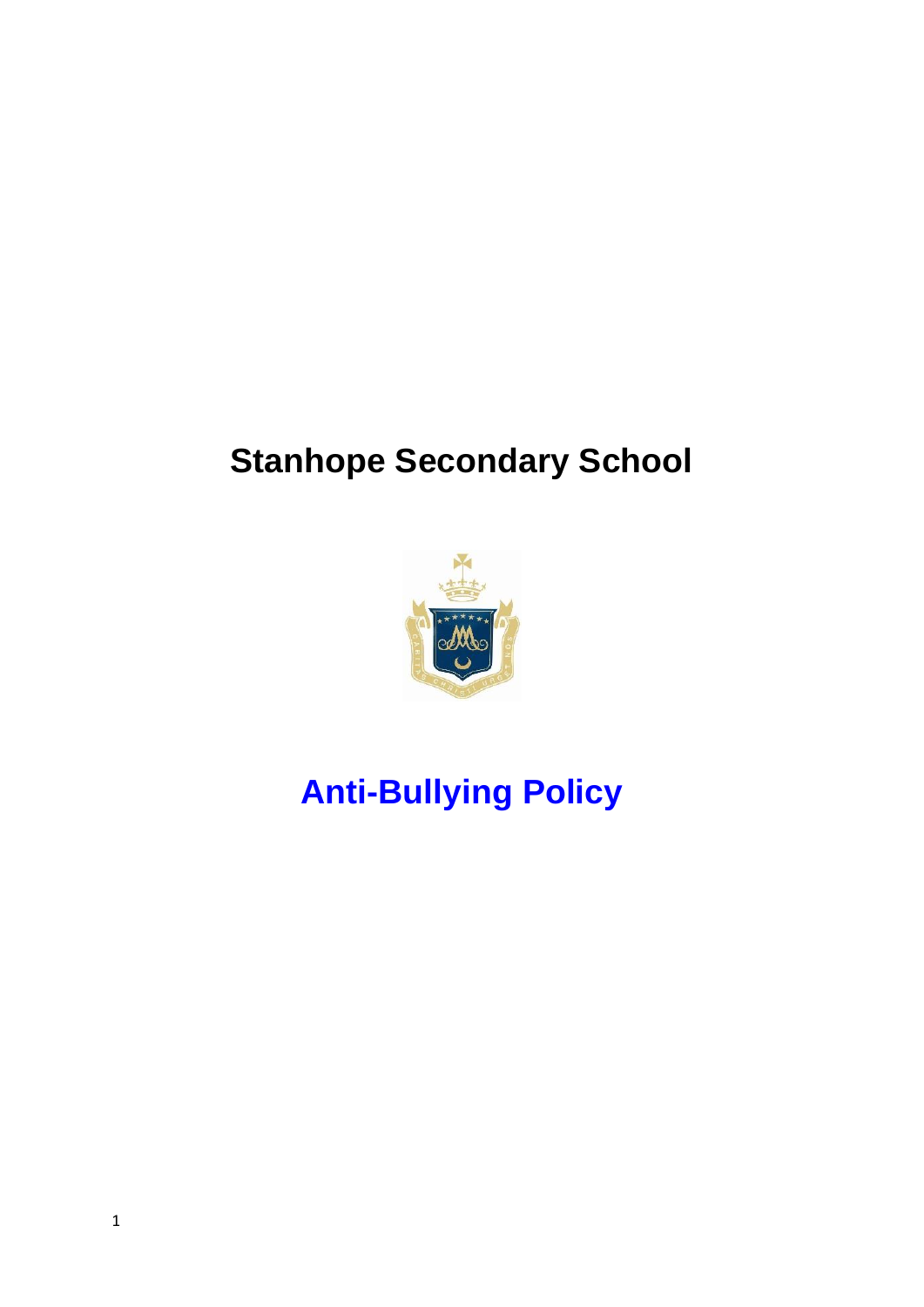## **Stanhope Secondary School**



# **Anti-Bullying Policy**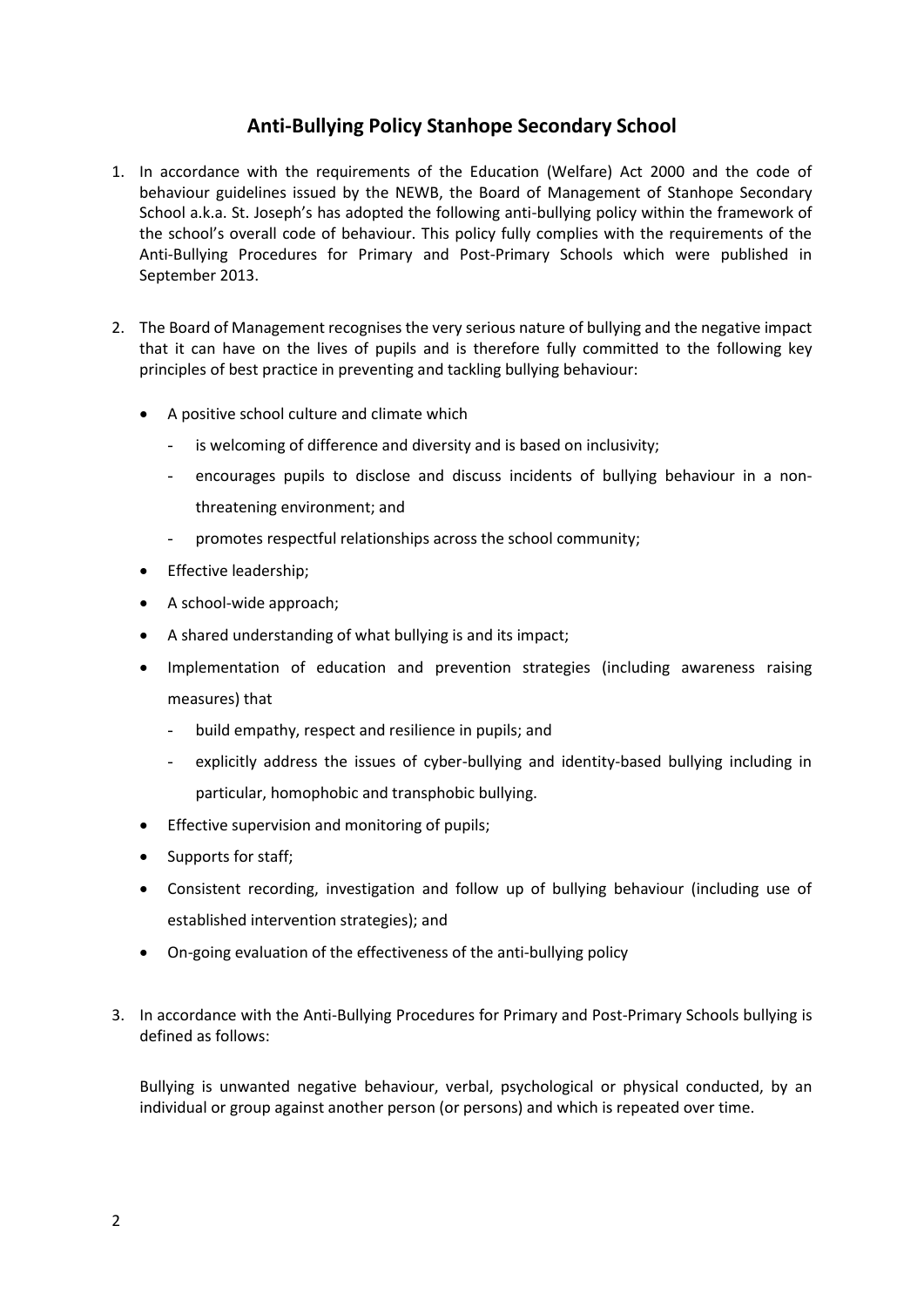### **Anti-Bullying Policy Stanhope Secondary School**

- 1. In accordance with the requirements of the Education (Welfare) Act 2000 and the code of behaviour guidelines issued by the NEWB, the Board of Management of Stanhope Secondary School a.k.a. St. Joseph's has adopted the following anti-bullying policy within the framework of the school's overall code of behaviour. This policy fully complies with the requirements of the Anti-Bullying Procedures for Primary and Post-Primary Schools which were published in September 2013.
- 2. The Board of Management recognises the very serious nature of bullying and the negative impact that it can have on the lives of pupils and is therefore fully committed to the following key principles of best practice in preventing and tackling bullying behaviour:
	- A positive school culture and climate which
		- is welcoming of difference and diversity and is based on inclusivity;
		- encourages pupils to disclose and discuss incidents of bullying behaviour in a nonthreatening environment; and
		- promotes respectful relationships across the school community;
	- **•** Effective leadership:
	- A school-wide approach;
	- A shared understanding of what bullying is and its impact;
	- Implementation of education and prevention strategies (including awareness raising measures) that
		- build empathy, respect and resilience in pupils; and
		- explicitly address the issues of cyber-bullying and identity-based bullying including in particular, homophobic and transphobic bullying.
	- **•** Effective supervision and monitoring of pupils:
	- Supports for staff;
	- Consistent recording, investigation and follow up of bullying behaviour (including use of established intervention strategies); and
	- On-going evaluation of the effectiveness of the anti-bullying policy
- 3. In accordance with the Anti-Bullying Procedures for Primary and Post-Primary Schools bullying is defined as follows:

Bullying is unwanted negative behaviour, verbal, psychological or physical conducted, by an individual or group against another person (or persons) and which is repeated over time.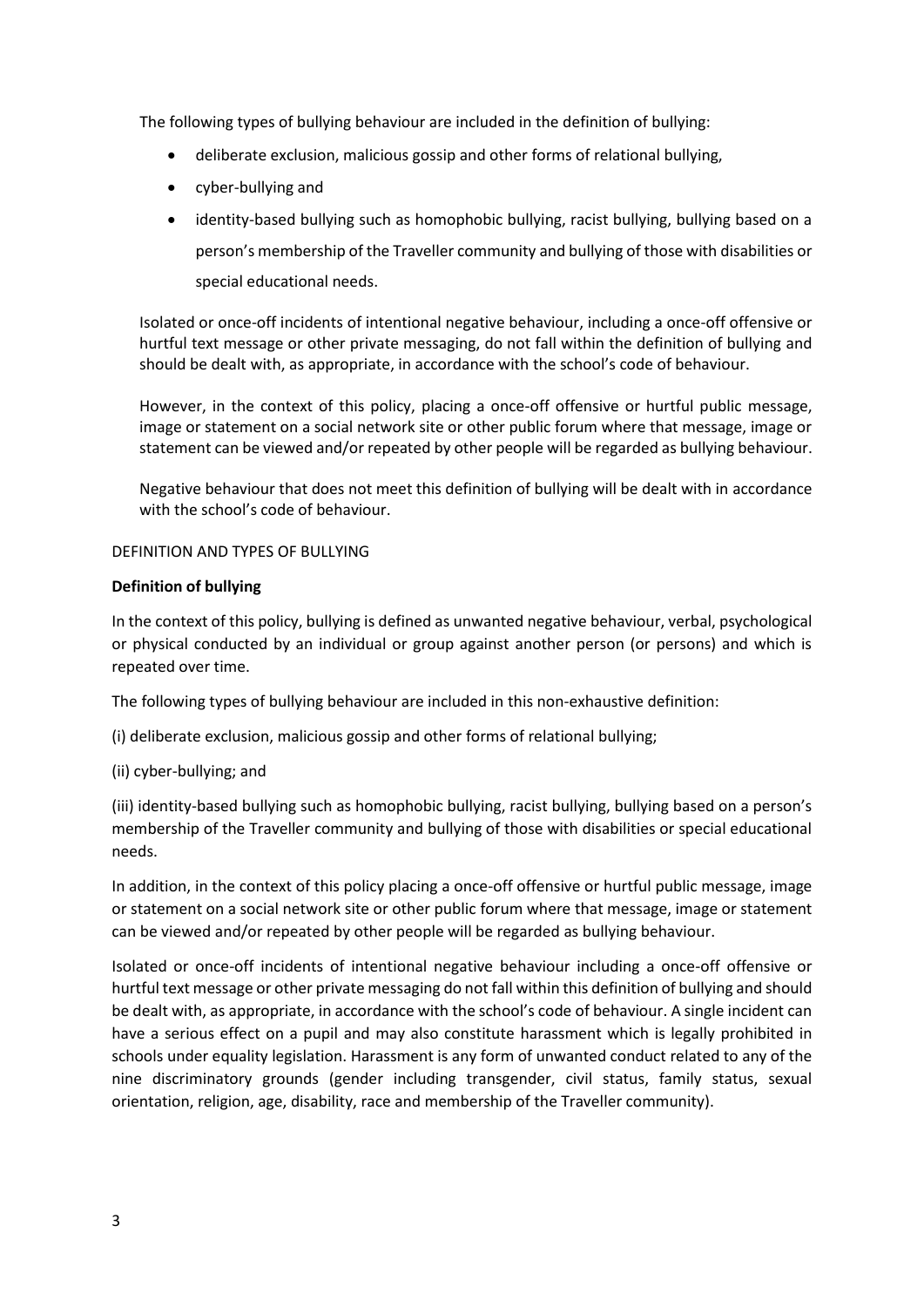The following types of bullying behaviour are included in the definition of bullying:

- deliberate exclusion, malicious gossip and other forms of relational bullying,
- cyber-bullying and
- identity-based bullying such as homophobic bullying, racist bullying, bullying based on a person's membership of the Traveller community and bullying of those with disabilities or special educational needs.

Isolated or once-off incidents of intentional negative behaviour, including a once-off offensive or hurtful text message or other private messaging, do not fall within the definition of bullying and should be dealt with, as appropriate, in accordance with the school's code of behaviour.

However, in the context of this policy, placing a once-off offensive or hurtful public message, image or statement on a social network site or other public forum where that message, image or statement can be viewed and/or repeated by other people will be regarded as bullying behaviour.

Negative behaviour that does not meet this definition of bullying will be dealt with in accordance with the school's code of behaviour.

#### DEFINITION AND TYPES OF BULLYING

#### **Definition of bullying**

In the context of this policy, bullying is defined as unwanted negative behaviour, verbal, psychological or physical conducted by an individual or group against another person (or persons) and which is repeated over time.

The following types of bullying behaviour are included in this non-exhaustive definition:

- (i) deliberate exclusion, malicious gossip and other forms of relational bullying;
- (ii) cyber-bullying; and

(iii) identity-based bullying such as homophobic bullying, racist bullying, bullying based on a person's membership of the Traveller community and bullying of those with disabilities or special educational needs.

In addition, in the context of this policy placing a once-off offensive or hurtful public message, image or statement on a social network site or other public forum where that message, image or statement can be viewed and/or repeated by other people will be regarded as bullying behaviour.

Isolated or once-off incidents of intentional negative behaviour including a once-off offensive or hurtful text message or other private messaging do not fall within this definition of bullying and should be dealt with, as appropriate, in accordance with the school's code of behaviour. A single incident can have a serious effect on a pupil and may also constitute harassment which is legally prohibited in schools under equality legislation. Harassment is any form of unwanted conduct related to any of the nine discriminatory grounds (gender including transgender, civil status, family status, sexual orientation, religion, age, disability, race and membership of the Traveller community).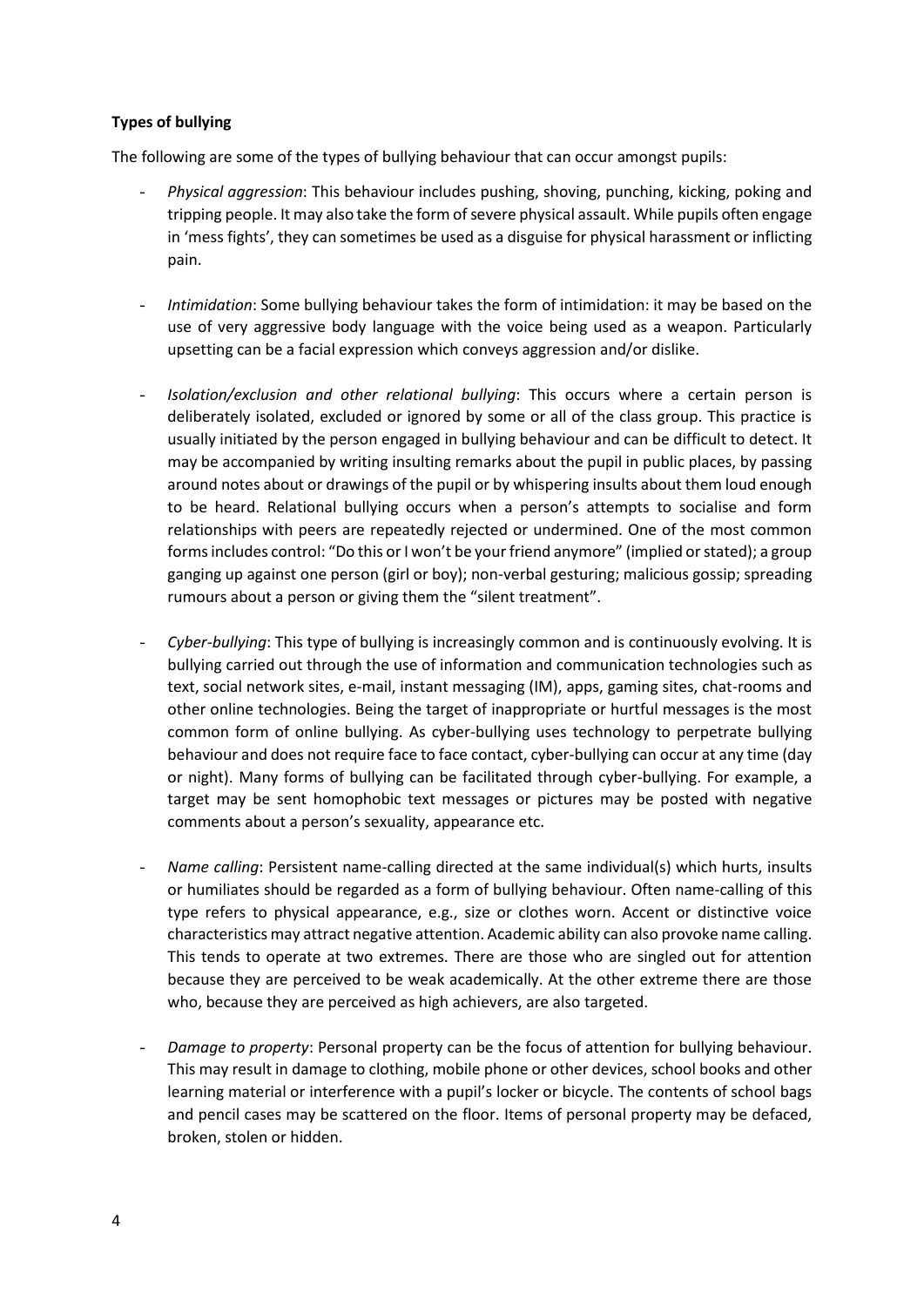#### **Types of bullying**

The following are some of the types of bullying behaviour that can occur amongst pupils:

- *Physical aggression*: This behaviour includes pushing, shoving, punching, kicking, poking and tripping people. It may also take the form of severe physical assault. While pupils often engage in 'mess fights', they can sometimes be used as a disguise for physical harassment or inflicting pain.
- *Intimidation*: Some bullying behaviour takes the form of intimidation: it may be based on the use of very aggressive body language with the voice being used as a weapon. Particularly upsetting can be a facial expression which conveys aggression and/or dislike.
- *Isolation/exclusion and other relational bullying*: This occurs where a certain person is deliberately isolated, excluded or ignored by some or all of the class group. This practice is usually initiated by the person engaged in bullying behaviour and can be difficult to detect. It may be accompanied by writing insulting remarks about the pupil in public places, by passing around notes about or drawings of the pupil or by whispering insults about them loud enough to be heard. Relational bullying occurs when a person's attempts to socialise and form relationships with peers are repeatedly rejected or undermined. One of the most common forms includes control: "Do this or I won't be your friend anymore" (implied or stated); a group ganging up against one person (girl or boy); non-verbal gesturing; malicious gossip; spreading rumours about a person or giving them the "silent treatment".
- *Cyber-bullying*: This type of bullying is increasingly common and is continuously evolving. It is bullying carried out through the use of information and communication technologies such as text, social network sites, e-mail, instant messaging (IM), apps, gaming sites, chat-rooms and other online technologies. Being the target of inappropriate or hurtful messages is the most common form of online bullying. As cyber-bullying uses technology to perpetrate bullying behaviour and does not require face to face contact, cyber-bullying can occur at any time (day or night). Many forms of bullying can be facilitated through cyber-bullying. For example, a target may be sent homophobic text messages or pictures may be posted with negative comments about a person's sexuality, appearance etc.
- *Name calling*: Persistent name-calling directed at the same individual(s) which hurts, insults or humiliates should be regarded as a form of bullying behaviour. Often name-calling of this type refers to physical appearance, e.g., size or clothes worn. Accent or distinctive voice characteristics may attract negative attention. Academic ability can also provoke name calling. This tends to operate at two extremes. There are those who are singled out for attention because they are perceived to be weak academically. At the other extreme there are those who, because they are perceived as high achievers, are also targeted.
- *Damage to property*: Personal property can be the focus of attention for bullying behaviour. This may result in damage to clothing, mobile phone or other devices, school books and other learning material or interference with a pupil's locker or bicycle. The contents of school bags and pencil cases may be scattered on the floor. Items of personal property may be defaced, broken, stolen or hidden.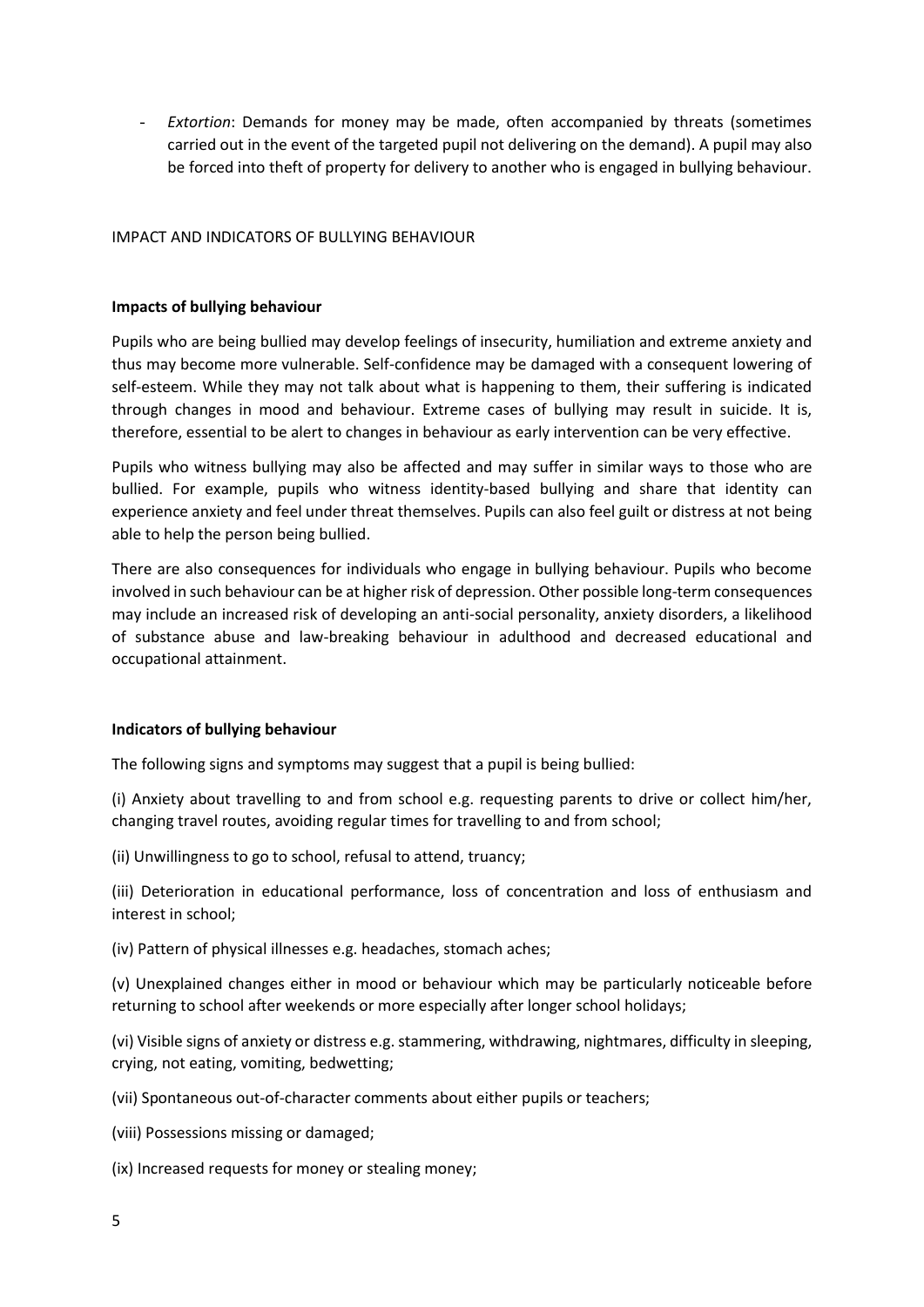- *Extortion*: Demands for money may be made, often accompanied by threats (sometimes carried out in the event of the targeted pupil not delivering on the demand). A pupil may also be forced into theft of property for delivery to another who is engaged in bullying behaviour.

#### IMPACT AND INDICATORS OF BULLYING BEHAVIOUR

#### **Impacts of bullying behaviour**

Pupils who are being bullied may develop feelings of insecurity, humiliation and extreme anxiety and thus may become more vulnerable. Self-confidence may be damaged with a consequent lowering of self-esteem. While they may not talk about what is happening to them, their suffering is indicated through changes in mood and behaviour. Extreme cases of bullying may result in suicide. It is, therefore, essential to be alert to changes in behaviour as early intervention can be very effective.

Pupils who witness bullying may also be affected and may suffer in similar ways to those who are bullied. For example, pupils who witness identity-based bullying and share that identity can experience anxiety and feel under threat themselves. Pupils can also feel guilt or distress at not being able to help the person being bullied.

There are also consequences for individuals who engage in bullying behaviour. Pupils who become involved in such behaviour can be at higher risk of depression. Other possible long-term consequences may include an increased risk of developing an anti-social personality, anxiety disorders, a likelihood of substance abuse and law-breaking behaviour in adulthood and decreased educational and occupational attainment.

#### **Indicators of bullying behaviour**

The following signs and symptoms may suggest that a pupil is being bullied:

(i) Anxiety about travelling to and from school e.g. requesting parents to drive or collect him/her, changing travel routes, avoiding regular times for travelling to and from school;

(ii) Unwillingness to go to school, refusal to attend, truancy;

(iii) Deterioration in educational performance, loss of concentration and loss of enthusiasm and interest in school;

(iv) Pattern of physical illnesses e.g. headaches, stomach aches;

(v) Unexplained changes either in mood or behaviour which may be particularly noticeable before returning to school after weekends or more especially after longer school holidays;

(vi) Visible signs of anxiety or distress e.g. stammering, withdrawing, nightmares, difficulty in sleeping, crying, not eating, vomiting, bedwetting;

(vii) Spontaneous out-of-character comments about either pupils or teachers;

(viii) Possessions missing or damaged;

(ix) Increased requests for money or stealing money;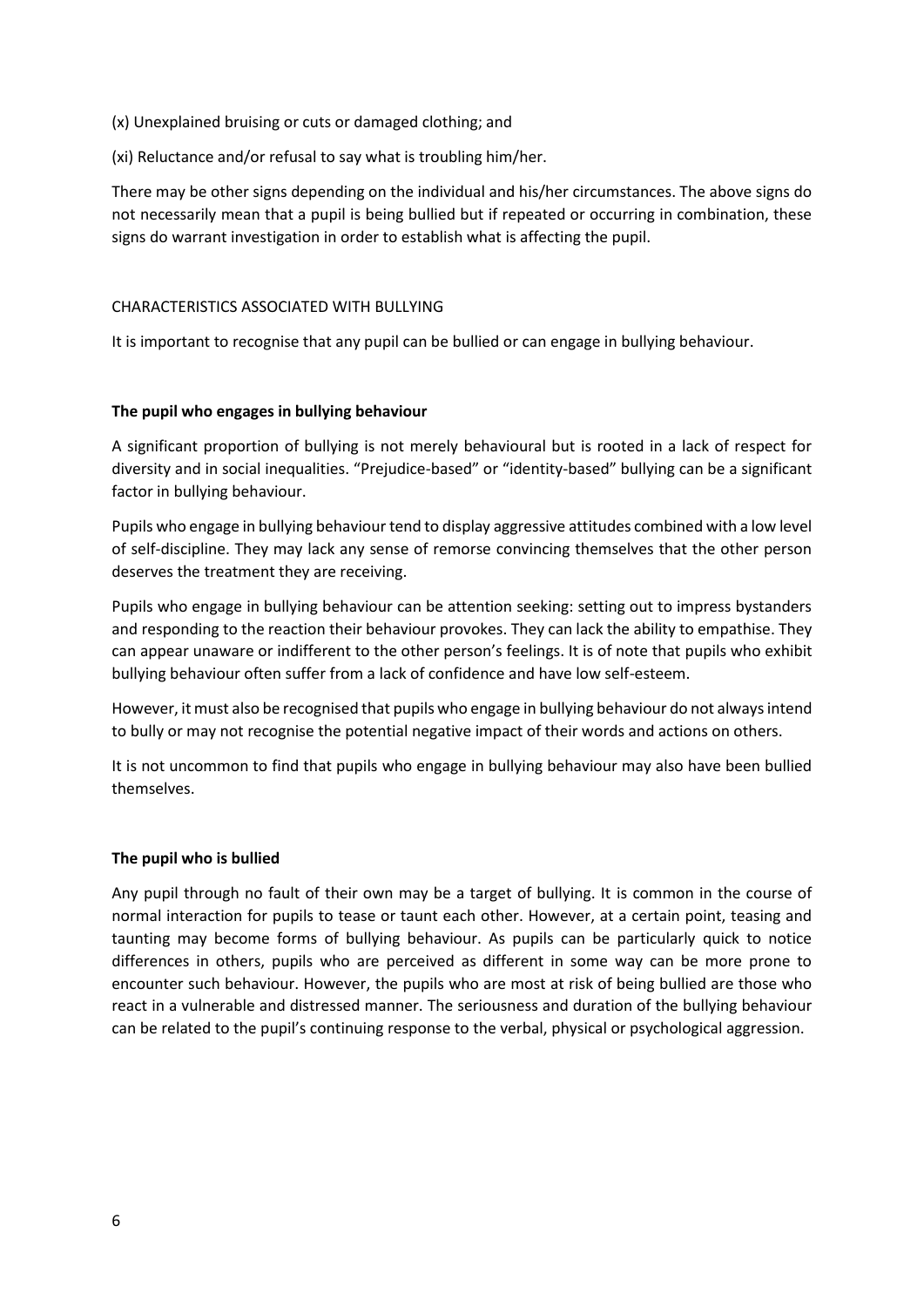- (x) Unexplained bruising or cuts or damaged clothing; and
- (xi) Reluctance and/or refusal to say what is troubling him/her.

There may be other signs depending on the individual and his/her circumstances. The above signs do not necessarily mean that a pupil is being bullied but if repeated or occurring in combination, these signs do warrant investigation in order to establish what is affecting the pupil.

#### CHARACTERISTICS ASSOCIATED WITH BULLYING

It is important to recognise that any pupil can be bullied or can engage in bullying behaviour.

#### **The pupil who engages in bullying behaviour**

A significant proportion of bullying is not merely behavioural but is rooted in a lack of respect for diversity and in social inequalities. "Prejudice-based" or "identity-based" bullying can be a significant factor in bullying behaviour.

Pupils who engage in bullying behaviour tend to display aggressive attitudes combined with a low level of self-discipline. They may lack any sense of remorse convincing themselves that the other person deserves the treatment they are receiving.

Pupils who engage in bullying behaviour can be attention seeking: setting out to impress bystanders and responding to the reaction their behaviour provokes. They can lack the ability to empathise. They can appear unaware or indifferent to the other person's feelings. It is of note that pupils who exhibit bullying behaviour often suffer from a lack of confidence and have low self-esteem.

However, it must also be recognised that pupils who engage in bullying behaviour do not always intend to bully or may not recognise the potential negative impact of their words and actions on others.

It is not uncommon to find that pupils who engage in bullying behaviour may also have been bullied themselves.

#### **The pupil who is bullied**

Any pupil through no fault of their own may be a target of bullying. It is common in the course of normal interaction for pupils to tease or taunt each other. However, at a certain point, teasing and taunting may become forms of bullying behaviour. As pupils can be particularly quick to notice differences in others, pupils who are perceived as different in some way can be more prone to encounter such behaviour. However, the pupils who are most at risk of being bullied are those who react in a vulnerable and distressed manner. The seriousness and duration of the bullying behaviour can be related to the pupil's continuing response to the verbal, physical or psychological aggression.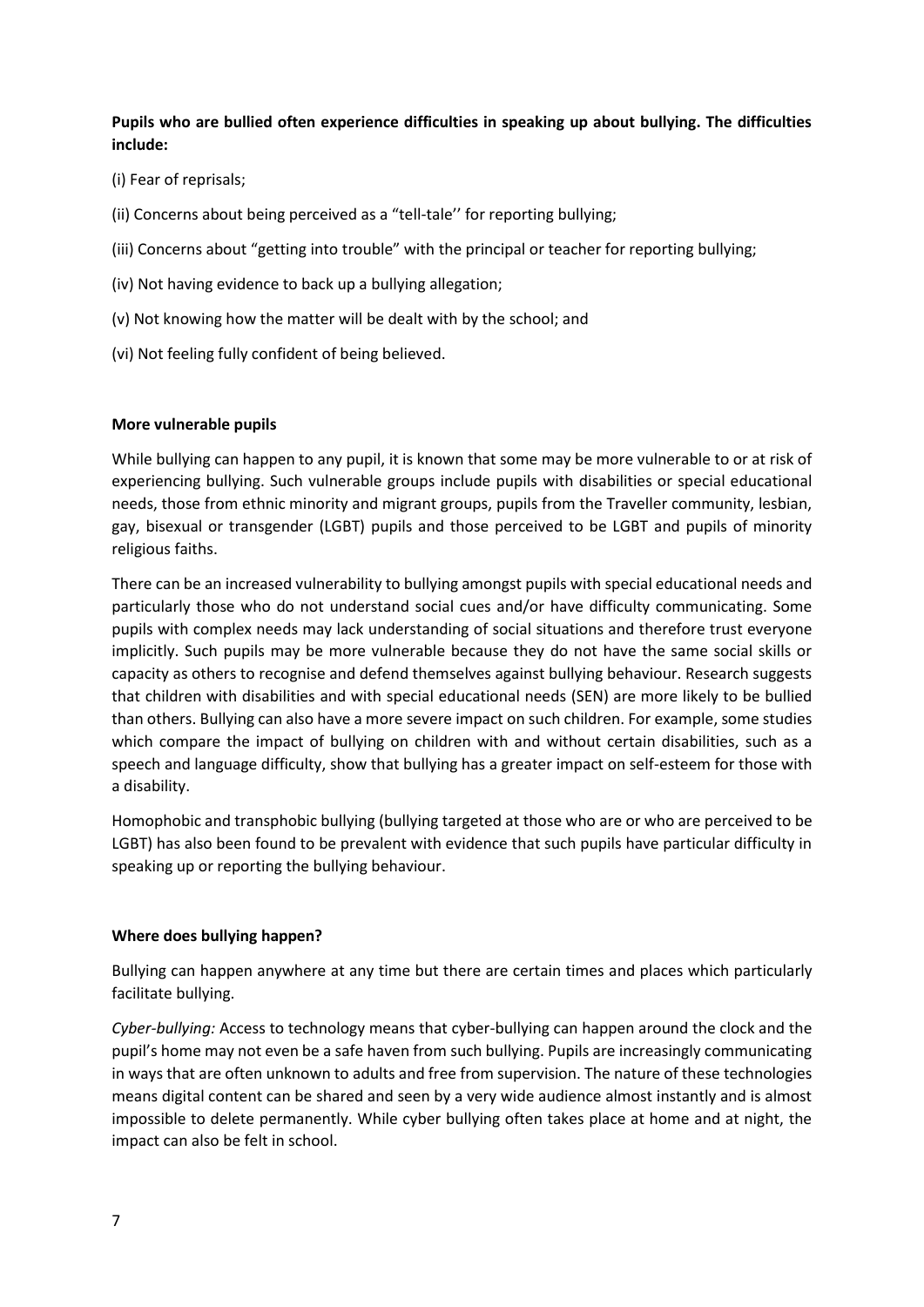**Pupils who are bullied often experience difficulties in speaking up about bullying. The difficulties include:**

- (i) Fear of reprisals;
- (ii) Concerns about being perceived as a "tell-tale'' for reporting bullying;
- (iii) Concerns about "getting into trouble" with the principal or teacher for reporting bullying;
- (iv) Not having evidence to back up a bullying allegation;
- (v) Not knowing how the matter will be dealt with by the school; and
- (vi) Not feeling fully confident of being believed.

#### **More vulnerable pupils**

While bullying can happen to any pupil, it is known that some may be more vulnerable to or at risk of experiencing bullying. Such vulnerable groups include pupils with disabilities or special educational needs, those from ethnic minority and migrant groups, pupils from the Traveller community, lesbian, gay, bisexual or transgender (LGBT) pupils and those perceived to be LGBT and pupils of minority religious faiths.

There can be an increased vulnerability to bullying amongst pupils with special educational needs and particularly those who do not understand social cues and/or have difficulty communicating. Some pupils with complex needs may lack understanding of social situations and therefore trust everyone implicitly. Such pupils may be more vulnerable because they do not have the same social skills or capacity as others to recognise and defend themselves against bullying behaviour. Research suggests that children with disabilities and with special educational needs (SEN) are more likely to be bullied than others. Bullying can also have a more severe impact on such children. For example, some studies which compare the impact of bullying on children with and without certain disabilities, such as a speech and language difficulty, show that bullying has a greater impact on self-esteem for those with a disability.

Homophobic and transphobic bullying (bullying targeted at those who are or who are perceived to be LGBT) has also been found to be prevalent with evidence that such pupils have particular difficulty in speaking up or reporting the bullying behaviour.

#### **Where does bullying happen?**

Bullying can happen anywhere at any time but there are certain times and places which particularly facilitate bullying.

*Cyber-bullying:* Access to technology means that cyber-bullying can happen around the clock and the pupil's home may not even be a safe haven from such bullying. Pupils are increasingly communicating in ways that are often unknown to adults and free from supervision. The nature of these technologies means digital content can be shared and seen by a very wide audience almost instantly and is almost impossible to delete permanently. While cyber bullying often takes place at home and at night, the impact can also be felt in school.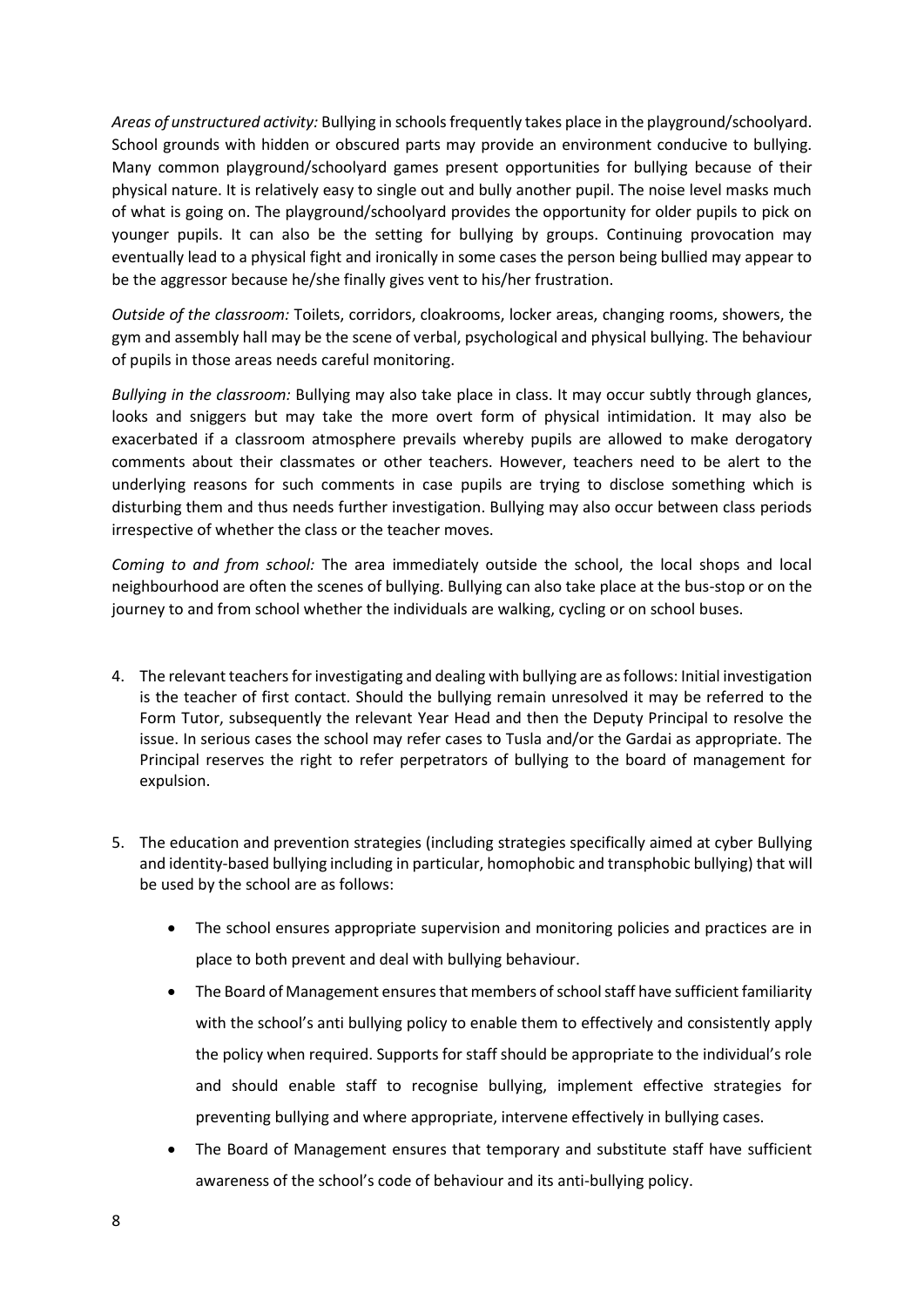*Areas of unstructured activity:* Bullying in schools frequently takes place in the playground/schoolyard. School grounds with hidden or obscured parts may provide an environment conducive to bullying. Many common playground/schoolyard games present opportunities for bullying because of their physical nature. It is relatively easy to single out and bully another pupil. The noise level masks much of what is going on. The playground/schoolyard provides the opportunity for older pupils to pick on younger pupils. It can also be the setting for bullying by groups. Continuing provocation may eventually lead to a physical fight and ironically in some cases the person being bullied may appear to be the aggressor because he/she finally gives vent to his/her frustration.

*Outside of the classroom:* Toilets, corridors, cloakrooms, locker areas, changing rooms, showers, the gym and assembly hall may be the scene of verbal, psychological and physical bullying. The behaviour of pupils in those areas needs careful monitoring.

*Bullying in the classroom:* Bullying may also take place in class. It may occur subtly through glances, looks and sniggers but may take the more overt form of physical intimidation. It may also be exacerbated if a classroom atmosphere prevails whereby pupils are allowed to make derogatory comments about their classmates or other teachers. However, teachers need to be alert to the underlying reasons for such comments in case pupils are trying to disclose something which is disturbing them and thus needs further investigation. Bullying may also occur between class periods irrespective of whether the class or the teacher moves.

*Coming to and from school:* The area immediately outside the school, the local shops and local neighbourhood are often the scenes of bullying. Bullying can also take place at the bus-stop or on the journey to and from school whether the individuals are walking, cycling or on school buses.

- 4. The relevant teachers for investigating and dealing with bullying are as follows: Initial investigation is the teacher of first contact. Should the bullying remain unresolved it may be referred to the Form Tutor, subsequently the relevant Year Head and then the Deputy Principal to resolve the issue. In serious cases the school may refer cases to Tusla and/or the Gardai as appropriate. The Principal reserves the right to refer perpetrators of bullying to the board of management for expulsion.
- 5. The education and prevention strategies (including strategies specifically aimed at cyber Bullying and identity-based bullying including in particular, homophobic and transphobic bullying) that will be used by the school are as follows:
	- The school ensures appropriate supervision and monitoring policies and practices are in place to both prevent and deal with bullying behaviour.
	- The Board of Management ensures that members of school staff have sufficient familiarity with the school's anti bullying policy to enable them to effectively and consistently apply the policy when required. Supports for staff should be appropriate to the individual's role and should enable staff to recognise bullying, implement effective strategies for preventing bullying and where appropriate, intervene effectively in bullying cases.
	- The Board of Management ensures that temporary and substitute staff have sufficient awareness of the school's code of behaviour and its anti-bullying policy.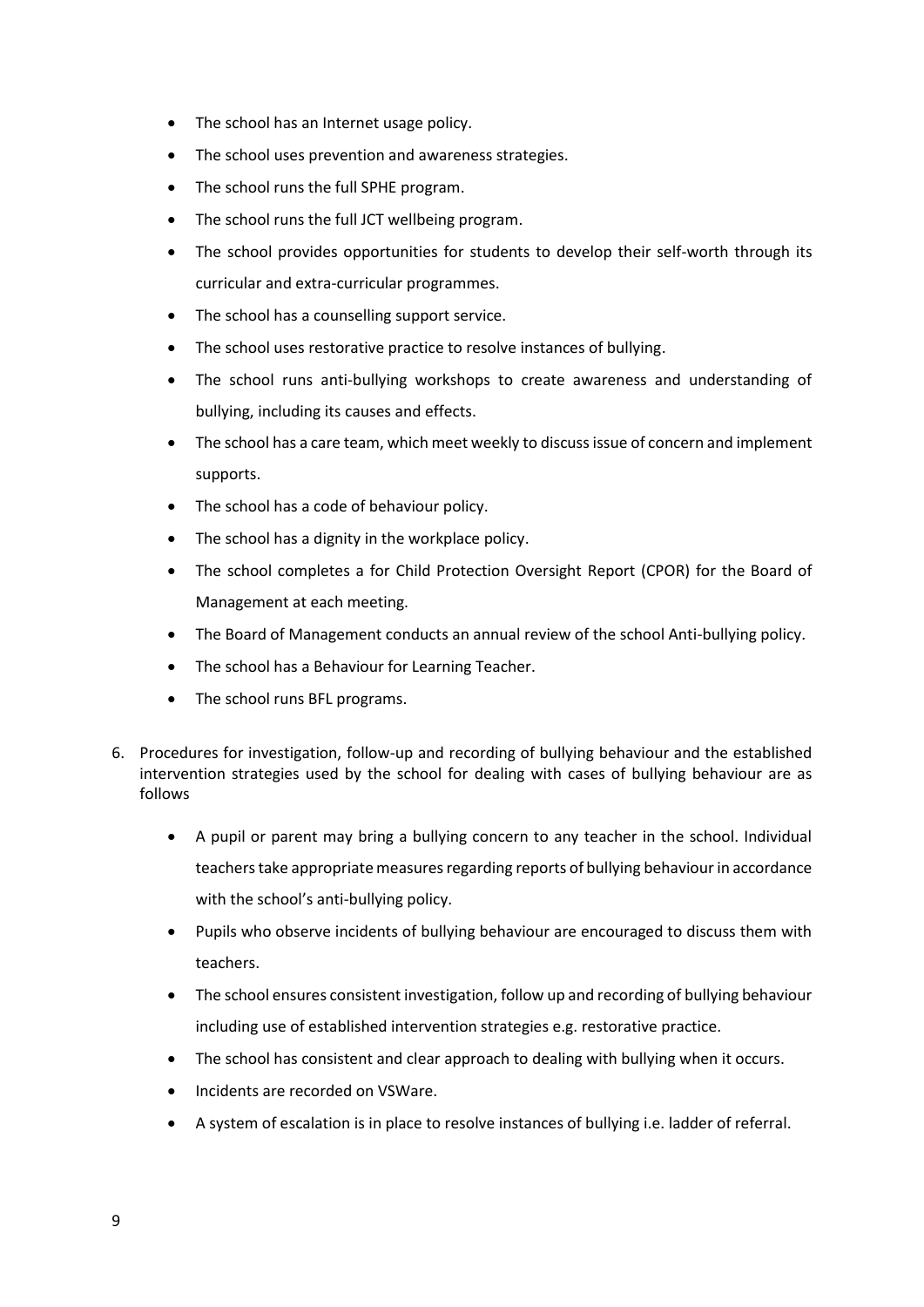- The school has an Internet usage policy.
- The school uses prevention and awareness strategies.
- The school runs the full SPHE program.
- The school runs the full JCT wellbeing program.
- The school provides opportunities for students to develop their self-worth through its curricular and extra-curricular programmes.
- The school has a counselling support service.
- The school uses restorative practice to resolve instances of bullying.
- The school runs anti-bullying workshops to create awareness and understanding of bullying, including its causes and effects.
- The school has a care team, which meet weekly to discuss issue of concern and implement supports.
- The school has a code of behaviour policy.
- The school has a dignity in the workplace policy.
- The school completes a for Child Protection Oversight Report (CPOR) for the Board of Management at each meeting.
- The Board of Management conducts an annual review of the school Anti-bullying policy.
- The school has a Behaviour for Learning Teacher.
- The school runs BFL programs.
- 6. Procedures for investigation, follow-up and recording of bullying behaviour and the established intervention strategies used by the school for dealing with cases of bullying behaviour are as follows
	- A pupil or parent may bring a bullying concern to any teacher in the school. Individual teachers take appropriate measures regarding reports of bullying behaviour in accordance with the school's anti-bullying policy.
	- Pupils who observe incidents of bullying behaviour are encouraged to discuss them with teachers.
	- The school ensures consistent investigation, follow up and recording of bullying behaviour including use of established intervention strategies e.g. restorative practice.
	- The school has consistent and clear approach to dealing with bullying when it occurs.
	- Incidents are recorded on VSWare.
	- A system of escalation is in place to resolve instances of bullying i.e. ladder of referral.